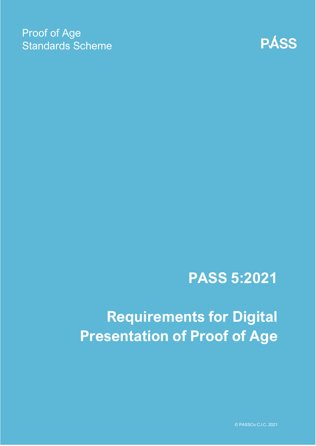### Proof of Age Standards Scheme



# **PASS 5:2021**

# **Requirements for Digital Presentation of Proof of Age**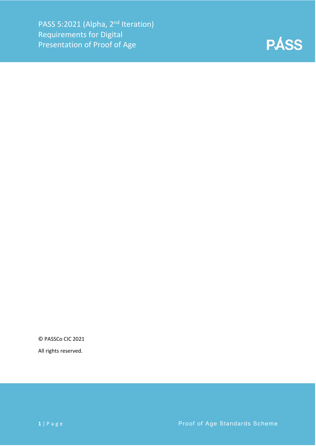

© PASSCo CIC 2021

All rights reserved.

**1** | Page **Proof of Age Standards Scheme**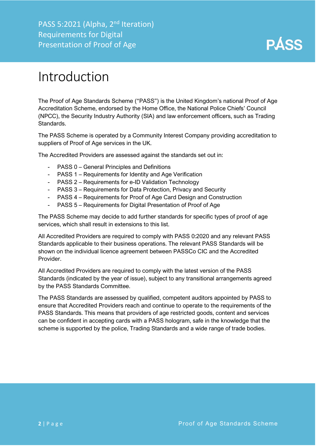PASS 5:2021 (Alpha, 2<sup>nd</sup> Iteration) Requirements for Digital Presentation of Proof of Age



### <span id="page-2-0"></span>Introduction

The Proof of Age Standards Scheme ("PASS") is the United Kingdom's national Proof of Age Accreditation Scheme, endorsed by the Home Office, the National Police Chiefs' Council (NPCC), the Security Industry Authority (SIA) and law enforcement officers, such as Trading Standards.

The PASS Scheme is operated by a Community Interest Company providing accreditation to suppliers of Proof of Age services in the UK.

The Accredited Providers are assessed against the standards set out in:

- PASS 0 General Principles and Definitions
- PASS 1 Requirements for Identity and Age Verification
- PASS 2 Requirements for e-ID Validation Technology
- PASS 3 Requirements for Data Protection, Privacy and Security
- PASS 4 Requirements for Proof of Age Card Design and Construction
- PASS 5 Requirements for Digital Presentation of Proof of Age

The PASS Scheme may decide to add further standards for specific types of proof of age services, which shall result in extensions to this list.

All Accredited Providers are required to comply with PASS 0:2020 and any relevant PASS Standards applicable to their business operations. The relevant PASS Standards will be shown on the individual licence agreement between PASSCo CIC and the Accredited **Provider** 

All Accredited Providers are required to comply with the latest version of the PASS Standards (indicated by the year of issue), subject to any transitional arrangements agreed by the PASS Standards Committee.

The PASS Standards are assessed by qualified, competent auditors appointed by PASS to ensure that Accredited Providers reach and continue to operate to the requirements of the PASS Standards. This means that providers of age restricted goods, content and services can be confident in accepting cards with a PASS hologram, safe in the knowledge that the scheme is supported by the police, Trading Standards and a wide range of trade bodies.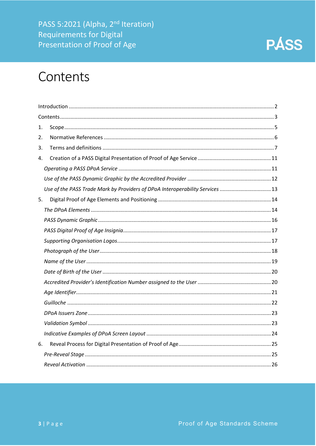PASS 5:2021 (Alpha, 2<sup>nd</sup> Iteration) **Requirements for Digital** Presentation of Proof of Age



### <span id="page-3-0"></span>Contents

| 1. |                                                                              |  |
|----|------------------------------------------------------------------------------|--|
| 2. |                                                                              |  |
| 3. |                                                                              |  |
| 4. |                                                                              |  |
|    |                                                                              |  |
|    |                                                                              |  |
|    | Use of the PASS Trade Mark by Providers of DPoA Interoperability Services 13 |  |
| 5. |                                                                              |  |
|    |                                                                              |  |
|    |                                                                              |  |
|    |                                                                              |  |
|    |                                                                              |  |
|    |                                                                              |  |
|    |                                                                              |  |
|    |                                                                              |  |
|    |                                                                              |  |
|    |                                                                              |  |
|    |                                                                              |  |
|    |                                                                              |  |
|    |                                                                              |  |
|    |                                                                              |  |
| 6. |                                                                              |  |
|    |                                                                              |  |
|    |                                                                              |  |
|    |                                                                              |  |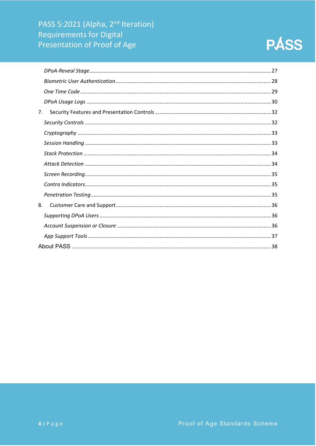

| 7. |  |
|----|--|
|    |  |
|    |  |
|    |  |
|    |  |
|    |  |
|    |  |
|    |  |
|    |  |
| 8. |  |
|    |  |
|    |  |
|    |  |
|    |  |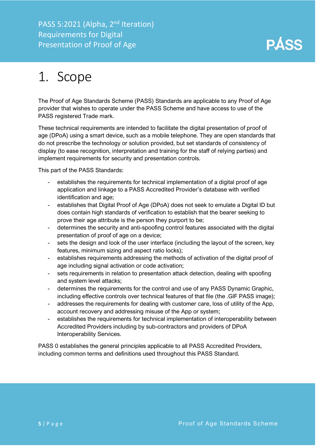# <span id="page-5-0"></span>1. Scope

The Proof of Age Standards Scheme (PASS) Standards are applicable to any Proof of Age provider that wishes to operate under the PASS Scheme and have access to use of the PASS registered Trade mark.

These technical requirements are intended to facilitate the digital presentation of proof of age (DPoA) using a smart device, such as a mobile telephone. They are open standards that do not prescribe the technology or solution provided, but set standards of consistency of display (to ease recognition, interpretation and training for the staff of relying parties) and implement requirements for security and presentation controls.

This part of the PASS Standards:

- establishes the requirements for technical implementation of a digital proof of age application and linkage to a PASS Accredited Provider's database with verified identification and age;
- establishes that Digital Proof of Age (DPoA) does not seek to emulate a Digital ID but does contain high standards of verification to establish that the bearer seeking to prove their age attribute is the person they purport to be;
- determines the security and anti-spoofing control features associated with the digital presentation of proof of age on a device;
- sets the design and look of the user interface (including the layout of the screen, key features, minimum sizing and aspect ratio locks);
- establishes requirements addressing the methods of activation of the digital proof of age including signal activation or code activation:
- sets requirements in relation to presentation attack detection, dealing with spoofing and system level attacks;
- determines the requirements for the control and use of any PASS Dynamic Graphic, including effective controls over technical features of that file (the .GIF PASS image);
- addresses the requirements for dealing with customer care, loss of utility of the App, account recovery and addressing misuse of the App or system;
- establishes the requirements for technical implementation of interoperability between Accredited Providers including by sub-contractors and providers of DPoA Interoperability Services.

PASS 0 establishes the general principles applicable to all PASS Accredited Providers, including common terms and definitions used throughout this PASS Standard.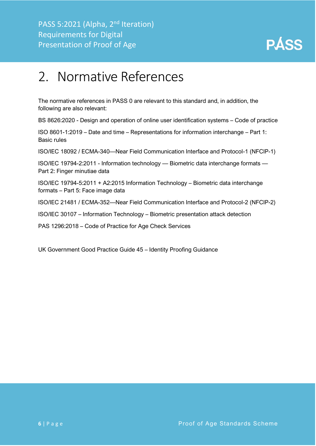

### <span id="page-6-0"></span>2. Normative References

The normative references in PASS 0 are relevant to this standard and, in addition, the following are also relevant:

BS 8626:2020 - Design and operation of online user identification systems – Code of practice

ISO 8601-1:2019 – Date and time – Representations for information interchange – Part 1: Basic rules

ISO/IEC 18092 / ECMA-340—Near Field Communication Interface and Protocol-1 (NFCIP-1)

ISO/IEC 19794-2:2011 - Information technology — Biometric data interchange formats — Part 2: Finger minutiae data

ISO/IEC 19794-5:2011 + A2:2015 Information Technology – Biometric data interchange formats – Part 5: Face image data

ISO/IEC 21481 / ECMA-352—Near Field Communication Interface and Protocol-2 (NFCIP-2)

ISO/IEC 30107 – Information Technology – Biometric presentation attack detection

PAS 1296:2018 – Code of Practice for Age Check Services

UK Government Good Practice Guide 45 – Identity Proofing Guidance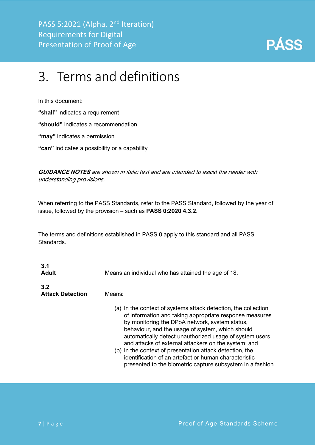

# <span id="page-7-0"></span>3. Terms and definitions

In this document:

**"shall"** indicates a requirement

**"should"** indicates a recommendation

**"may"** indicates a permission

**"can"** indicates a possibility or a capability

**GUIDANCE NOTES** are shown in italic text and are intended to assist the reader with understanding provisions.

When referring to the PASS Standards, refer to the PASS Standard, followed by the year of issue, followed by the provision – such as **PASS 0:2020 4.3.2**.

The terms and definitions established in PASS 0 apply to this standard and all PASS Standards.

| 3.1<br><b>Adult</b>            | Means an individual who has attained the age of 18.                                                                                                                                                                                                                                                                                                                                                                                                                                                                                  |
|--------------------------------|--------------------------------------------------------------------------------------------------------------------------------------------------------------------------------------------------------------------------------------------------------------------------------------------------------------------------------------------------------------------------------------------------------------------------------------------------------------------------------------------------------------------------------------|
| 3.2<br><b>Attack Detection</b> | Means:                                                                                                                                                                                                                                                                                                                                                                                                                                                                                                                               |
|                                | (a) In the context of systems attack detection, the collection<br>of information and taking appropriate response measures<br>by monitoring the DPoA network, system status,<br>behaviour, and the usage of system, which should<br>automatically detect unauthorized usage of system users<br>and attacks of external attackers on the system; and<br>(b) In the context of presentation attack detection, the<br>identification of an artefact or human characteristic<br>presented to the biometric capture subsystem in a fashion |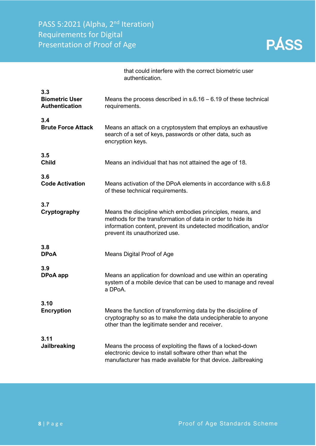

|                                                       | that could interfere with the correct biometric user<br>authentication.                                                                                                                                                        |
|-------------------------------------------------------|--------------------------------------------------------------------------------------------------------------------------------------------------------------------------------------------------------------------------------|
| 3.3<br><b>Biometric User</b><br><b>Authentication</b> | Means the process described in $s.6.16 - 6.19$ of these technical<br>requirements.                                                                                                                                             |
| 3.4<br><b>Brute Force Attack</b>                      | Means an attack on a cryptosystem that employs an exhaustive<br>search of a set of keys, passwords or other data, such as<br>encryption keys.                                                                                  |
| 3.5<br><b>Child</b>                                   | Means an individual that has not attained the age of 18.                                                                                                                                                                       |
| 3.6<br><b>Code Activation</b>                         | Means activation of the DPoA elements in accordance with s.6.8<br>of these technical requirements.                                                                                                                             |
| 3.7<br>Cryptography                                   | Means the discipline which embodies principles, means, and<br>methods for the transformation of data in order to hide its<br>information content, prevent its undetected modification, and/or<br>prevent its unauthorized use. |
| 3.8<br><b>DPoA</b>                                    | Means Digital Proof of Age                                                                                                                                                                                                     |
| 3.9<br>DPoA app                                       | Means an application for download and use within an operating<br>system of a mobile device that can be used to manage and reveal<br>a DPoA.                                                                                    |
| 3.10<br><b>Encryption</b>                             | Means the function of transforming data by the discipline of<br>cryptography so as to make the data undecipherable to anyone<br>other than the legitimate sender and receiver.                                                 |
| 3.11<br>Jailbreaking                                  | Means the process of exploiting the flaws of a locked-down<br>electronic device to install software other than what the<br>manufacturer has made available for that device. Jailbreaking                                       |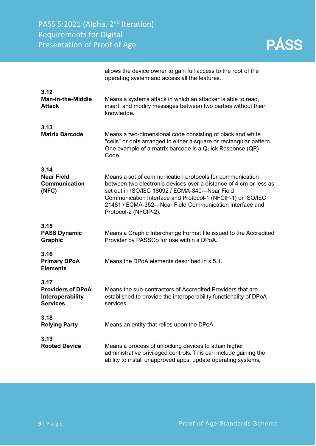PASS 5:2021 (Alpha, 2<sup>nd</sup> Iteration) Requirements for Digital Presentation of Proof of Age

|                                                                         | allows the device owner to gain full access to the root of the<br>operating system and access all the features.                                                                                                                                                                                                                    |
|-------------------------------------------------------------------------|------------------------------------------------------------------------------------------------------------------------------------------------------------------------------------------------------------------------------------------------------------------------------------------------------------------------------------|
| 3.12<br><b>Man-in-the-Middle</b><br><b>Attack</b>                       | Means a systems attack in which an attacker is able to read,<br>insert, and modify messages between two parties without their<br>knowledge.                                                                                                                                                                                        |
| 3.13<br><b>Matrix Barcode</b>                                           | Means a two-dimensional code consisting of black and white<br>"cells" or dots arranged in either a square or rectangular pattern.<br>One example of a matrix barcode is a Quick Response (QR)<br>Code.                                                                                                                             |
| 3.14<br><b>Near Field</b><br><b>Communication</b><br>(NEC)              | Means a set of communication protocols for communication<br>between two electronic devices over a distance of 4 cm or less as<br>set out in ISO/IEC 18092 / ECMA-340-Near Field<br>Communication Interface and Protocol-1 (NFCIP-1) or ISO/IEC<br>21481 / ECMA-352-Near Field Communication Interface and<br>Protocol-2 (NFCIP-2). |
| 3.15<br><b>PASS Dynamic</b><br>Graphic                                  | Means a Graphic Interchange Format file issued to the Accredited<br>Provider by PASSCo for use within a DPoA.                                                                                                                                                                                                                      |
| 3.16<br><b>Primary DPoA</b><br><b>Elements</b>                          | Means the DPoA elements described in s.5.1.                                                                                                                                                                                                                                                                                        |
| 3.17<br><b>Providers of DPoA</b><br>Interoperability<br><b>Services</b> | Means the sub-contractors of Accredited Providers that are<br>established to provide the interoperability functionality of DPoA<br>services.                                                                                                                                                                                       |
| 3.18<br><b>Relying Party</b>                                            | Means an entity that relies upon the DPoA.                                                                                                                                                                                                                                                                                         |
| 3.19<br><b>Rooted Device</b>                                            | Means a process of unlocking devices to attain higher<br>administrative privileged controls. This can include gaining the<br>ability to install unapproved apps, update operating systems,                                                                                                                                         |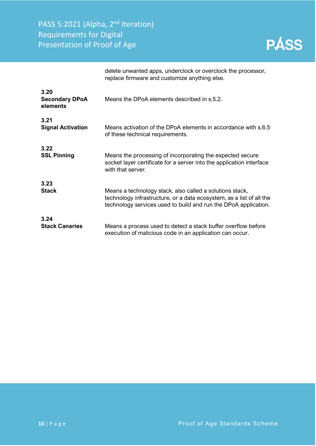PASS 5:2021 (Alpha, 2<sup>nd</sup> Iteration) Requirements for Digital Presentation of Proof of Age

|                                           | delete unwanted apps, underclock or overclock the processor,<br>replace firmware and customize anything else.                                                                                       |
|-------------------------------------------|-----------------------------------------------------------------------------------------------------------------------------------------------------------------------------------------------------|
| 3.20<br><b>Secondary DPoA</b><br>elements | Means the DPoA elements described in s.5.2.                                                                                                                                                         |
| 3.21<br><b>Signal Activation</b>          | Means activation of the DPoA elements in accordance with s.6.5<br>of these technical requirements.                                                                                                  |
| 3.22<br><b>SSL Pinning</b>                | Means the processing of incorporating the expected secure<br>socket layer certificate for a server into the application interface<br>with that server.                                              |
| 3.23<br><b>Stack</b>                      | Means a technology stack, also called a solutions stack,<br>technology infrastructure, or a data ecosystem, as a list of all the<br>technology services used to build and run the DPoA application. |
| 3.24<br><b>Stack Canaries</b>             | Means a process used to detect a stack buffer overflow before<br>execution of malicious code in an application can occur.                                                                           |

**10** | Page **10** | Page **Proof of Age Standards Scheme** 

**PÁSS**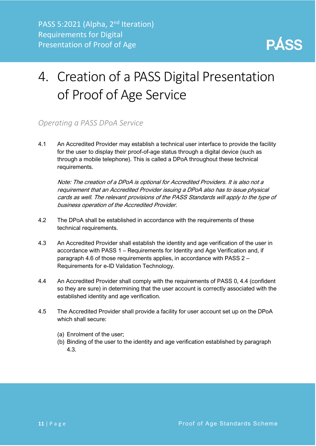

# <span id="page-11-0"></span>4. Creation of a PASS Digital Presentation of Proof of Age Service

#### <span id="page-11-1"></span>*Operating a PASS DPoA Service*

4.1 An Accredited Provider may establish a technical user interface to provide the facility for the user to display their proof-of-age status through a digital device (such as through a mobile telephone). This is called a DPoA throughout these technical requirements.

Note: The creation of a DPoA is optional for Accredited Providers. It is also not a requirement that an Accredited Provider issuing a DPoA also has to issue physical cards as well. The relevant provisions of the PASS Standards will apply to the type of business operation of the Accredited Provider.

- 4.2 The DPoA shall be established in accordance with the requirements of these technical requirements.
- 4.3 An Accredited Provider shall establish the identity and age verification of the user in accordance with PASS 1 – Requirements for Identity and Age Verification and, if paragraph 4.6 of those requirements applies, in accordance with PASS 2 – Requirements for e-ID Validation Technology.
- 4.4 An Accredited Provider shall comply with the requirements of PASS 0, 4.4 (confident so they are sure) in determining that the user account is correctly associated with the established identity and age verification.
- 4.5 The Accredited Provider shall provide a facility for user account set up on the DPoA which shall secure:
	- (a) Enrolment of the user;
	- (b) Binding of the user to the identity and age verification established by paragraph 4.3.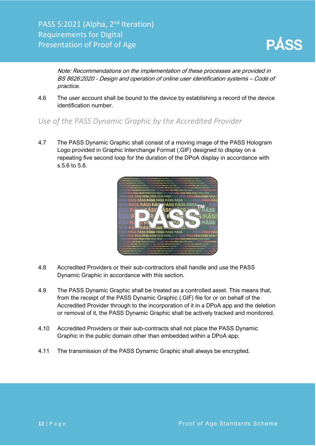

Note: Recommendations on the implementation of these processes are provided in BS 8626:2020 - Design and operation of online user identification systems – Code of practice.

4.6 The user account shall be bound to the device by establishing a record of the device identification number.

<span id="page-12-0"></span>*Use of the PASS Dynamic Graphic by the Accredited Provider*

4.7 The PASS Dynamic Graphic shall consist of a moving image of the PASS Hologram Logo provided in Graphic Interchange Format (.GIF) designed to display on a repeating five second loop for the duration of the DPoA display in accordance with s.5.6 to 5.8.



- 4.8 Accredited Providers or their sub-contractors shall handle and use the PASS Dynamic Graphic in accordance with this section.
- 4.9 The PASS Dynamic Graphic shall be treated as a controlled asset. This means that, from the receipt of the PASS Dynamic Graphic (.GIF) file for or on behalf of the Accredited Provider through to the incorporation of it in a DPoA app and the deletion or removal of it, the PASS Dynamic Graphic shall be actively tracked and monitored.
- 4.10 Accredited Providers or their sub-contracts shall not place the PASS Dynamic Graphic in the public domain other than embedded within a DPoA app.
- 4.11 The transmission of the PASS Dynamic Graphic shall always be encrypted.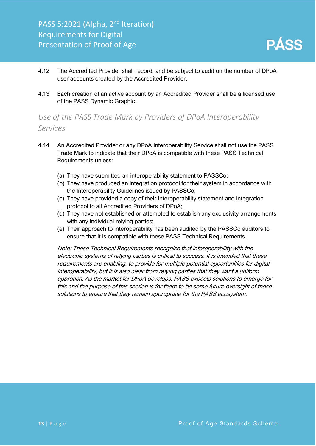

- 4.12 The Accredited Provider shall record, and be subject to audit on the number of DPoA user accounts created by the Accredited Provider.
- 4.13 Each creation of an active account by an Accredited Provider shall be a licensed use of the PASS Dynamic Graphic.

### <span id="page-13-0"></span>*Use of the PASS Trade Mark by Providers of DPoA Interoperability Services*

- 4.14 An Accredited Provider or any DPoA Interoperability Service shall not use the PASS Trade Mark to indicate that their DPoA is compatible with these PASS Technical Requirements unless:
	- (a) They have submitted an interoperability statement to PASSCo;
	- (b) They have produced an integration protocol for their system in accordance with the Interoperability Guidelines issued by PASSCo;
	- (c) They have provided a copy of their interoperability statement and integration protocol to all Accredited Providers of DPoA;
	- (d) They have not established or attempted to establish any exclusivity arrangements with any individual relying parties;
	- (e) Their approach to interoperability has been audited by the PASSCo auditors to ensure that it is compatible with these PASS Technical Requirements.

Note: These Technical Requirements recognise that interoperability with the electronic systems of relying parties is critical to success. It is intended that these requirements are enabling, to provide for multiple potential opportunities for digital interoperability, but it is also clear from relying parties that they want a uniform approach. As the market for DPoA develops, PASS expects solutions to emerge for this and the purpose of this section is for there to be some future oversight of those solutions to ensure that they remain appropriate for the PASS ecosystem.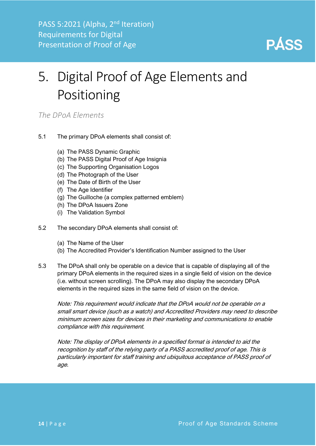

# <span id="page-14-0"></span>5. Digital Proof of Age Elements and Positioning

<span id="page-14-1"></span>*The DPoA Elements*

- 5.1 The primary DPoA elements shall consist of:
	- (a) The PASS Dynamic Graphic
	- (b) The PASS Digital Proof of Age Insignia
	- (c) The Supporting Organisation Logos
	- (d) The Photograph of the User
	- (e) The Date of Birth of the User
	- (f) The Age Identifier
	- (g) The Guilloche (a complex patterned emblem)
	- (h) The DPoA Issuers Zone
	- (i) The Validation Symbol
- 5.2 The secondary DPoA elements shall consist of:
	- (a) The Name of the User
	- (b) The Accredited Provider's Identification Number assigned to the User
- 5.3 The DPoA shall only be operable on a device that is capable of displaying all of the primary DPoA elements in the required sizes in a single field of vision on the device (i.e. without screen scrolling). The DPoA may also display the secondary DPoA elements in the required sizes in the same field of vision on the device.

Note: This requirement would indicate that the DPoA would not be operable on a small smart device (such as a watch) and Accredited Providers may need to describe minimum screen sizes for devices in their marketing and communications to enable compliance with this requirement.

Note: The display of DPoA elements in a specified format is intended to aid the recognition by staff of the relying party of a PASS accredited proof of age. This is particularly important for staff training and ubiquitous acceptance of PASS proof of age.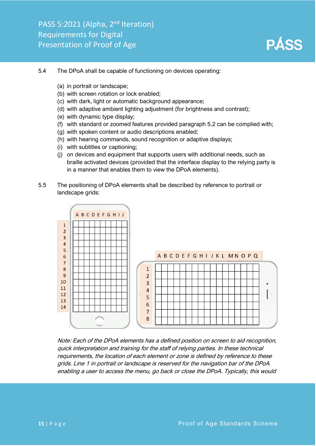

#### 5.4 The DPoA shall be capable of functioning on devices operating:

- (a) in portrait or landscape;
- (b) with screen rotation or lock enabled;
- (c) with dark, light or automatic background appearance;
- (d) with adaptive ambient lighting adjustment (for brightness and contrast);
- (e) with dynamic type display;
- (f) with standard or zoomed features provided paragraph 5.2 can be complied with;
- (g) with spoken content or audio descriptions enabled;
- (h) with hearing commands, sound recognition or adaptive displays;
- (i) with subtitles or captioning;
- (j) on devices and equipment that supports users with additional needs, such as braille activated devices (provided that the interface display to the relying party is in a manner that enables them to view the DPoA elements).
- 5.5 The positioning of DPoA elements shall be described by reference to portrait or landscape grids:



Note: Each of the DPoA elements has a defined position on screen to aid recognition, quick interpretation and training for the staff of relying parties. In these technical requirements, the location of each element or zone is defined by reference to these grids. Line 1 in portrait or landscape is reserved for the navigation bar of the DPoA enabling a user to access the menu, go back or close the DPoA. Typically, this would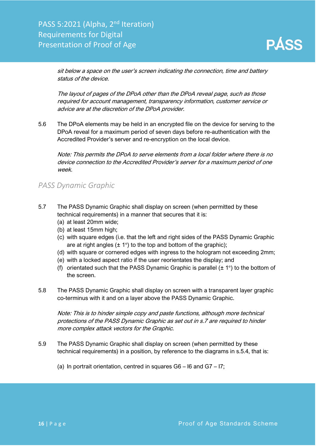sit below a space on the user's screen indicating the connection, time and battery status of the device.

The layout of pages of the DPoA other than the DPoA reveal page, such as those required for account management, transparency information, customer service or advice are at the discretion of the DPoA provider.

5.6 The DPoA elements may be held in an encrypted file on the device for serving to the DPoA reveal for a maximum period of seven days before re-authentication with the Accredited Provider's server and re-encryption on the local device.

Note: This permits the DPoA to serve elements from a local folder where there is no device connection to the Accredited Provider's server for a maximum period of one week.

#### <span id="page-16-0"></span>*PASS Dynamic Graphic*

- 5.7 The PASS Dynamic Graphic shall display on screen (when permitted by these technical requirements) in a manner that secures that it is:
	- (a) at least 20mm wide;
	- (b) at least 15mm high;
	- (c) with square edges (i.e. that the left and right sides of the PASS Dynamic Graphic are at right angles  $(\pm 1^{\circ})$  to the top and bottom of the graphic);
	- (d) with square or cornered edges with ingress to the hologram not exceeding 2mm;
	- (e) with a locked aspect ratio if the user reorientates the display; and
	- (f) orientated such that the PASS Dynamic Graphic is parallel  $(\pm 1^{\circ})$  to the bottom of the screen.
- 5.8 The PASS Dynamic Graphic shall display on screen with a transparent layer graphic co-terminus with it and on a layer above the PASS Dynamic Graphic.

Note: This is to hinder simple copy and paste functions, although more technical protections of the PASS Dynamic Graphic as set out in s.7 are required to hinder more complex attack vectors for the Graphic.

- 5.9 The PASS Dynamic Graphic shall display on screen (when permitted by these technical requirements) in a position, by reference to the diagrams in s.5.4, that is:
	- (a) In portrait orientation, centred in squares G6 I6 and G7 I7;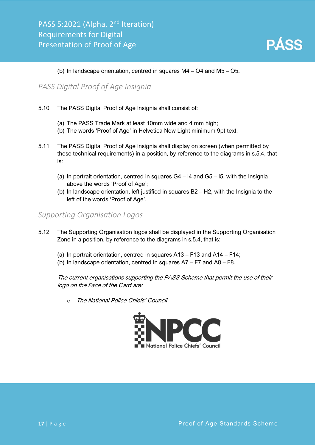

#### (b) In landscape orientation, centred in squares M4 – O4 and M5 – O5.

#### <span id="page-17-0"></span>*PASS Digital Proof of Age Insignia*

- 5.10 The PASS Digital Proof of Age Insignia shall consist of:
	- (a) The PASS Trade Mark at least 10mm wide and 4 mm high;
	- (b) The words 'Proof of Age' in Helvetica Now Light minimum 9pt text.
- 5.11 The PASS Digital Proof of Age Insignia shall display on screen (when permitted by these technical requirements) in a position, by reference to the diagrams in s.5.4, that is:
	- (a) In portrait orientation, centred in squares  $G4 14$  and  $G5 15$ , with the Insignia above the words 'Proof of Age';
	- (b) In landscape orientation, left justified in squares B2 H2, with the Insignia to the left of the words 'Proof of Age'.

#### <span id="page-17-1"></span>*Supporting Organisation Logos*

- 5.12 The Supporting Organisation logos shall be displayed in the Supporting Organisation Zone in a position, by reference to the diagrams in s.5.4, that is:
	- (a) In portrait orientation, centred in squares A13 F13 and A14 F14;
	- (b) In landscape orientation, centred in squares A7 F7 and A8 F8.

The current organisations supporting the PASS Scheme that permit the use of their logo on the Face of the Card are:

o The National Police Chiefs' Council

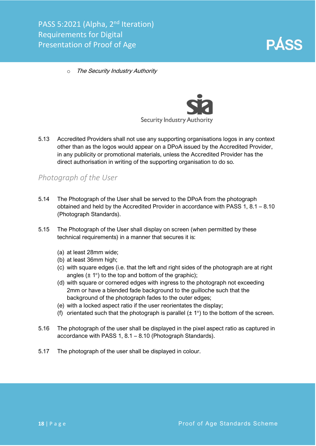

o The Security Industry Authority



5.13 Accredited Providers shall not use any supporting organisations logos in any context other than as the logos would appear on a DPoA issued by the Accredited Provider, in any publicity or promotional materials, unless the Accredited Provider has the direct authorisation in writing of the supporting organisation to do so.

#### <span id="page-18-0"></span>*Photograph of the User*

- 5.14 The Photograph of the User shall be served to the DPoA from the photograph obtained and held by the Accredited Provider in accordance with PASS 1, 8.1 – 8.10 (Photograph Standards).
- 5.15 The Photograph of the User shall display on screen (when permitted by these technical requirements) in a manner that secures it is:
	- (a) at least 28mm wide;
	- (b) at least 36mm high;
	- (c) with square edges (i.e. that the left and right sides of the photograph are at right angles  $(\pm 1^{\circ})$  to the top and bottom of the graphic);
	- (d) with square or cornered edges with ingress to the photograph not exceeding 2mm or have a blended fade background to the guilloche such that the background of the photograph fades to the outer edges;
	- (e) with a locked aspect ratio if the user reorientates the display;
	- (f) orientated such that the photograph is parallel  $(\pm 1^{\circ})$  to the bottom of the screen.
- 5.16 The photograph of the user shall be displayed in the pixel aspect ratio as captured in accordance with PASS 1, 8.1 – 8.10 (Photograph Standards).
- 5.17 The photograph of the user shall be displayed in colour.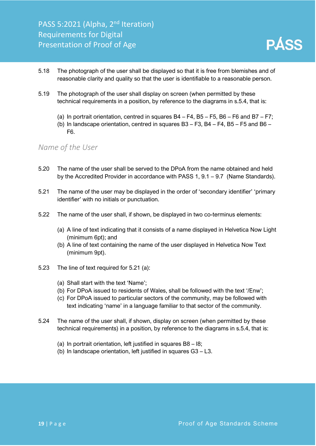

- 5.18 The photograph of the user shall be displayed so that it is free from blemishes and of reasonable clarity and quality so that the user is identifiable to a reasonable person.
- 5.19 The photograph of the user shall display on screen (when permitted by these technical requirements in a position, by reference to the diagrams in s.5.4, that is:
	- (a) In portrait orientation, centred in squares B4 F4, B5 F5, B6 F6 and B7 F7;
	- (b) In landscape orientation, centred in squares  $B3 F3$ ,  $B4 F4$ ,  $B5 F5$  and  $B6 -$ F6.

#### <span id="page-19-0"></span>*Name of the User*

- 5.20 The name of the user shall be served to the DPoA from the name obtained and held by the Accredited Provider in accordance with PASS 1, 9.1 – 9.7 (Name Standards).
- 5.21 The name of the user may be displayed in the order of 'secondary identifier' 'primary identifier' with no initials or punctuation.
- 5.22 The name of the user shall, if shown, be displayed in two co-terminus elements:
	- (a) A line of text indicating that it consists of a name displayed in Helvetica Now Light (minimum 6pt); and
	- (b) A line of text containing the name of the user displayed in Helvetica Now Text (minimum 9pt).
- 5.23 The line of text required for 5.21 (a):
	- (a) Shall start with the text 'Name';
	- (b) For DPoA issued to residents of Wales, shall be followed with the text '/Enw';
	- (c) For DPoA issued to particular sectors of the community, may be followed with text indicating 'name' in a language familiar to that sector of the community.
- 5.24 The name of the user shall, if shown, display on screen (when permitted by these technical requirements) in a position, by reference to the diagrams in s.5.4, that is:
	- (a) In portrait orientation, left justified in squares B8 I8;
	- (b) In landscape orientation, left justified in squares G3 L3.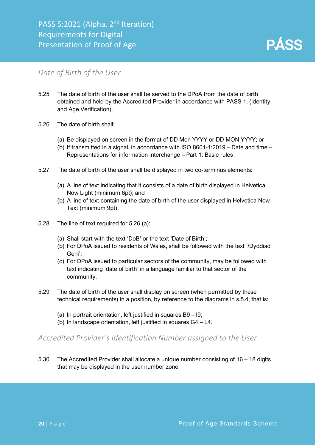

#### <span id="page-20-0"></span>*Date of Birth of the User*

- 5.25 The date of birth of the user shall be served to the DPoA from the date of birth obtained and held by the Accredited Provider in accordance with PASS 1, (Identity and Age Verification).
- 5.26 The date of birth shall:
	- (a) Be displayed on screen in the format of DD Mon YYYY or DD MON YYYY; or
	- (b) If transmitted in a signal, in accordance with ISO 8601-1:2019 Date and time Representations for information interchange – Part 1: Basic rules
- 5.27 The date of birth of the user shall be displayed in two co-terminus elements:
	- (a) A line of text indicating that it consists of a date of birth displayed in Helvetica Now Light (minimum 6pt); and
	- (b) A line of text containing the date of birth of the user displayed in Helvetica Now Text (minimum 9pt).
- 5.28 The line of text required for 5.26 (a):
	- (a) Shall start with the text 'DoB' or the text 'Date of Birth';
	- (b) For DPoA issued to residents of Wales, shall be followed with the text '/Dyddiad Geni';
	- (c) For DPoA issued to particular sectors of the community, may be followed with text indicating 'date of birth' in a language familiar to that sector of the community.
- 5.29 The date of birth of the user shall display on screen (when permitted by these technical requirements) in a position, by reference to the diagrams in s.5.4, that is:
	- (a) In portrait orientation, left justified in squares B9 I9;
	- (b) In landscape orientation, left justified in squares  $G4 L4$ .

#### <span id="page-20-1"></span>*Accredited Provider's Identification Number assigned to the User*

5.30 The Accredited Provider shall allocate a unique number consisting of 16 – 18 digits that may be displayed in the user number zone.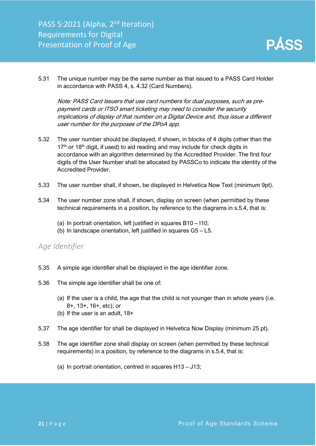

5.31 The unique number may be the same number as that issued to a PASS Card Holder in accordance with PASS 4, s. 4.32 (Card Numbers).

Note: PASS Card Issuers that use card numbers for dual purposes, such as prepayment cards or ITSO smart ticketing may need to consider the security implications of display of that number on a Digital Device and, thus issue a different user number for the purposes of the DPoA app.

- 5.32 The user number should be displayed, if shown, in blocks of 4 digits (other than the  $17<sup>th</sup>$  or  $18<sup>th</sup>$  digit, if used) to aid reading and may include for check digits in accordance with an algorithm determined by the Accredited Provider. The first four digits of the User Number shall be allocated by PASSCo to indicate the identity of the Accredited Provider.
- 5.33 The user number shall, if shown, be displayed in Helvetica Now Text (minimum 9pt).
- 5.34 The user number zone shall, if shown, display on screen (when permitted by these technical requirements in a position, by reference to the diagrams in s.5.4, that is:
	- (a) In portrait orientation, left justified in squares B10 I10;
	- (b) In landscape orientation, left justified in squares G5 L5.

#### <span id="page-21-0"></span>*Age Identifier*

- 5.35 A simple age identifier shall be displayed in the age identifier zone.
- 5.36 The simple age identifier shall be one of:
	- (a) If the user is a child, the age that the child is not younger than in whole years (i.e. 8+, 13+, 16+, etc); or
	- (b) If the user is an adult, 18+
- 5.37 The age identifier for shall be displayed in Helvetica Now Display (minimum 25 pt).
- 5.38 The age identifier zone shall display on screen (when permitted by these technical requirements) in a position, by reference to the diagrams in s.5.4, that is:
	- (a) In portrait orientation, centred in squares H13 J13;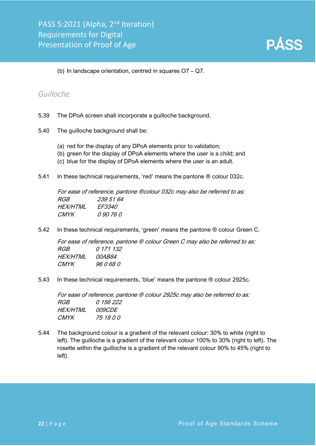(b) In landscape orientation, centred in squares O7 – Q7.

#### <span id="page-22-0"></span>*Guilloche*

- 5.39 The DPoA screen shall incorporate a guilloche background.
- 5.40 The guilloche background shall be:
	- (a) red for the display of any DPoA elements prior to validation;
	- (b) green for the display of DPoA elements where the user is a child; and
	- (c) blue for the display of DPoA elements where the user is an adult.
- 5.41 In these technical requirements, 'red' means the pantone ® colour 032c.

For ease of reference, pantone ®colour 032c may also be referred to as: RGB 239 51 64 HEX/HTML FF3340 CMYK 0 90 76 0

5.42 In these technical requirements, 'green' means the pantone ® colour Green C.

For ease of reference, pantone ® colour Green C may also be referred to as: RGB 0 171 132 HEX/HTML 00AB84 CMYK 96 0 68 0

5.43 In these technical requirements, 'blue' means the pantone ® colour 2925c.

For ease of reference, pantone ® colour 2925c may also be referred to as: RGB 0 156 222 HEX/HTML 009CDE CMYK 75 18 0 0

5.44 The background colour is a gradient of the relevant colour: 30% to white (right to left). The guilloche is a gradient of the relevant colour 100% to 30% (right to left). The rosette within the guilloche is a gradient of the relevant colour 90% to 45% (right to left).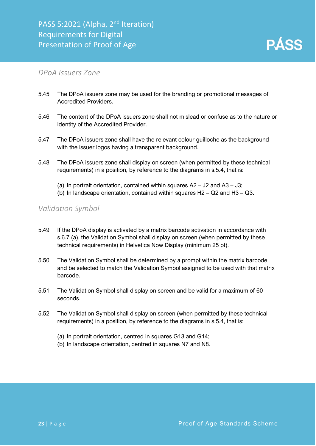

#### <span id="page-23-0"></span>*DPoA Issuers Zone*

- 5.45 The DPoA issuers zone may be used for the branding or promotional messages of Accredited Providers.
- 5.46 The content of the DPoA issuers zone shall not mislead or confuse as to the nature or identity of the Accredited Provider.
- 5.47 The DPoA issuers zone shall have the relevant colour guilloche as the background with the issuer logos having a transparent background.
- 5.48 The DPoA issuers zone shall display on screen (when permitted by these technical requirements) in a position, by reference to the diagrams in s.5.4, that is:
	- (a) In portrait orientation, contained within squares  $A2 J2$  and  $A3 J3$ ;
	- (b) In landscape orientation, contained within squares H2 Q2 and H3 Q3.

#### <span id="page-23-1"></span>*Validation Symbol*

- 5.49 If the DPoA display is activated by a matrix barcode activation in accordance with s.6.7 (a), the Validation Symbol shall display on screen (when permitted by these technical requirements) in Helvetica Now Display (minimum 25 pt).
- 5.50 The Validation Symbol shall be determined by a prompt within the matrix barcode and be selected to match the Validation Symbol assigned to be used with that matrix barcode.
- 5.51 The Validation Symbol shall display on screen and be valid for a maximum of 60 seconds.
- 5.52 The Validation Symbol shall display on screen (when permitted by these technical requirements) in a position, by reference to the diagrams in s.5.4, that is:
	- (a) In portrait orientation, centred in squares G13 and G14;
	- (b) In landscape orientation, centred in squares N7 and N8.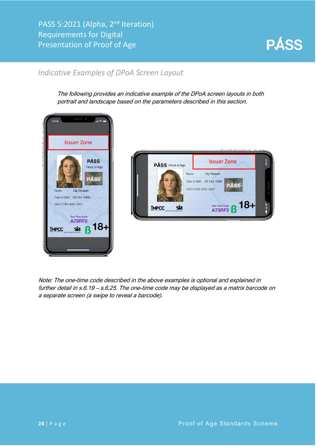

#### <span id="page-24-0"></span>*Indicative Examples of DPoA Screen Layout*

The following provides an indicative example of the DPoA screen layouts in both portrait and landscape based on the parameters described in this section.





Note: The one-time code described in the above examples is optional and explained in further detail in s.6.19 – s.6.25. The one-time code may be displayed as a matrix barcode on a separate screen (a swipe to reveal a barcode).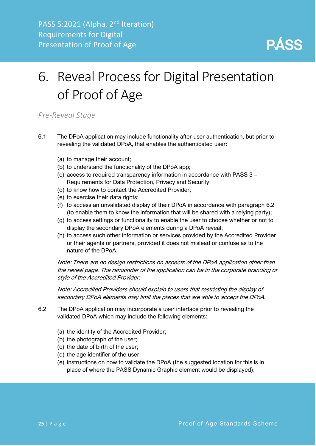

# <span id="page-25-0"></span>6. Reveal Process for Digital Presentation of Proof of Age

#### <span id="page-25-1"></span>*Pre-Reveal Stage*

- 6.1 The DPoA application may include functionality after user authentication, but prior to revealing the validated DPoA, that enables the authenticated user:
	- (a) to manage their account;
	- (b) to understand the functionality of the DPoA app;
	- (c) access to required transparency information in accordance with PASS 3 Requirements for Data Protection, Privacy and Security;
	- (d) to know how to contact the Accredited Provider;
	- (e) to exercise their data rights;
	- (f) to access an unvalidated display of their DPoA in accordance with paragraph 6.2 (to enable them to know the information that will be shared with a relying party);
	- (g) to access settings or functionality to enable the user to choose whether or not to display the secondary DPoA elements during a DPoA reveal;
	- (h) to access such other information or services provided by the Accredited Provider or their agents or partners, provided it does not mislead or confuse as to the nature of the DPoA.

Note: There are no design restrictions on aspects of the DPoA application other than the reveal page. The remainder of the application can be in the corporate branding or style of the Accredited Provider.

Note: Accredited Providers should explain to users that restricting the display of secondary DPoA elements may limit the places that are able to accept the DPoA.

- 6.2 The DPoA application may incorporate a user interface prior to revealing the validated DPoA which may include the following elements:
	- (a) the identity of the Accredited Provider;
	- (b) the photograph of the user;
	- (c) the date of birth of the user;
	- (d) the age identifier of the user;
	- (e) instructions on how to validate the DPoA (the suggested location for this is in place of where the PASS Dynamic Graphic element would be displayed).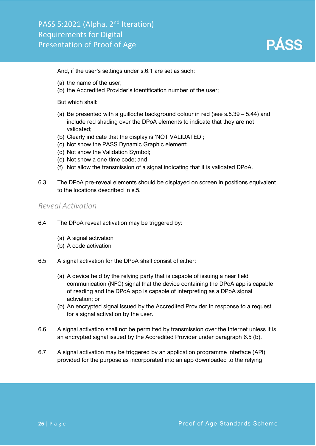And, if the user's settings under s.6.1 are set as such:

- (a) the name of the user;
- (b) the Accredited Provider's identification number of the user;

But which shall:

- (a) Be presented with a quilloche background colour in red (see  $s.5.39 5.44$ ) and include red shading over the DPoA elements to indicate that they are not validated;
- (b) Clearly indicate that the display is 'NOT VALIDATED';
- (c) Not show the PASS Dynamic Graphic element;
- (d) Not show the Validation Symbol;
- (e) Not show a one-time code; and
- (f) Not allow the transmission of a signal indicating that it is validated DPoA.
- 6.3 The DPoA pre-reveal elements should be displayed on screen in positions equivalent to the locations described in s.5.

#### <span id="page-26-0"></span>*Reveal Activation*

- 6.4 The DPoA reveal activation may be triggered by:
	- (a) A signal activation
	- (b) A code activation
- 6.5 A signal activation for the DPoA shall consist of either:
	- (a) A device held by the relying party that is capable of issuing a near field communication (NFC) signal that the device containing the DPoA app is capable of reading and the DPoA app is capable of interpreting as a DPoA signal activation; or
	- (b) An encrypted signal issued by the Accredited Provider in response to a request for a signal activation by the user.
- 6.6 A signal activation shall not be permitted by transmission over the Internet unless it is an encrypted signal issued by the Accredited Provider under paragraph 6.5 (b).
- 6.7 A signal activation may be triggered by an application programme interface (API) provided for the purpose as incorporated into an app downloaded to the relying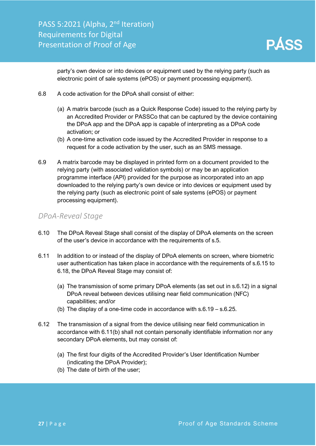

party's own device or into devices or equipment used by the relying party (such as electronic point of sale systems (ePOS) or payment processing equipment).

- 6.8 A code activation for the DPoA shall consist of either:
	- (a) A matrix barcode (such as a Quick Response Code) issued to the relying party by an Accredited Provider or PASSCo that can be captured by the device containing the DPoA app and the DPoA app is capable of interpreting as a DPoA code activation; or
	- (b) A one-time activation code issued by the Accredited Provider in response to a request for a code activation by the user, such as an SMS message.
- 6.9 A matrix barcode may be displayed in printed form on a document provided to the relying party (with associated validation symbols) or may be an application programme interface (API) provided for the purpose as incorporated into an app downloaded to the relying party's own device or into devices or equipment used by the relying party (such as electronic point of sale systems (ePOS) or payment processing equipment).

#### <span id="page-27-0"></span>*DPoA-Reveal Stage*

- 6.10 The DPoA Reveal Stage shall consist of the display of DPoA elements on the screen of the user's device in accordance with the requirements of s.5.
- 6.11 In addition to or instead of the display of DPoA elements on screen, where biometric user authentication has taken place in accordance with the requirements of s.6.15 to 6.18, the DPoA Reveal Stage may consist of:
	- (a) The transmission of some primary DPoA elements (as set out in s.6.12) in a signal DPoA reveal between devices utilising near field communication (NFC) capabilities; and/or
	- (b) The display of a one-time code in accordance with s.6.19 s.6.25.
- 6.12 The transmission of a signal from the device utilising near field communication in accordance with 6.11(b) shall not contain personally identifiable information nor any secondary DPoA elements, but may consist of:
	- (a) The first four digits of the Accredited Provider's User Identification Number (indicating the DPoA Provider);
	- (b) The date of birth of the user;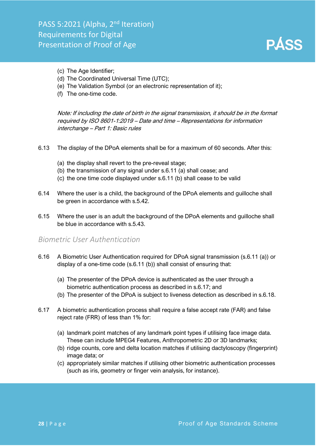

- (c) The Age Identifier;
- (d) The Coordinated Universal Time (UTC);
- (e) The Validation Symbol (or an electronic representation of it);
- (f) The one-time code.

Note: If including the date of birth in the signal transmission, it should be in the format required by ISO 8601-1:2019 – Date and time – Representations for information interchange – Part 1: Basic rules

- 6.13 The display of the DPoA elements shall be for a maximum of 60 seconds. After this:
	- (a) the display shall revert to the pre-reveal stage;
	- (b) the transmission of any signal under s.6.11 (a) shall cease; and
	- (c) the one time code displayed under s.6.11 (b) shall cease to be valid
- 6.14 Where the user is a child, the background of the DPoA elements and guilloche shall be green in accordance with s.5.42.
- 6.15 Where the user is an adult the background of the DPoA elements and guilloche shall be blue in accordance with s.5.43.

#### <span id="page-28-0"></span>*Biometric User Authentication*

- 6.16 A Biometric User Authentication required for DPoA signal transmission (s.6.11 (a)) or display of a one-time code (s.6.11 (b)) shall consist of ensuring that:
	- (a) The presenter of the DPoA device is authenticated as the user through a biometric authentication process as described in s.6.17; and
	- (b) The presenter of the DPoA is subject to liveness detection as described in s.6.18.
- 6.17 A biometric authentication process shall require a false accept rate (FAR) and false reject rate (FRR) of less than 1% for:
	- (a) landmark point matches of any landmark point types if utilising face image data. These can include MPEG4 Features, Anthropometric 2D or 3D landmarks;
	- (b) ridge counts, core and delta location matches if utilising dactyloscopy (fingerprint) image data; or
	- (c) appropriately similar matches if utilising other biometric authentication processes (such as iris, geometry or finger vein analysis, for instance).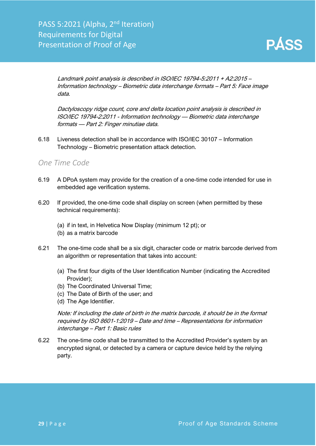

Landmark point analysis is described in ISO/IEC 19794-5:2011 + A2:2015 – Information technology – Biometric data interchange formats – Part 5: Face image data.

Dactyloscopy ridge count, core and delta location point analysis is described in ISO/IEC 19794-2:2011 - Information technology — Biometric data interchange formats — Part 2: Finger minutiae data.

6.18 Liveness detection shall be in accordance with ISO/IEC 30107 – Information Technology – Biometric presentation attack detection.

#### <span id="page-29-0"></span>*One Time Code*

- 6.19 A DPoA system may provide for the creation of a one-time code intended for use in embedded age verification systems.
- 6.20 If provided, the one-time code shall display on screen (when permitted by these technical requirements):
	- (a) if in text, in Helvetica Now Display (minimum 12 pt); or
	- (b) as a matrix barcode
- 6.21 The one-time code shall be a six digit, character code or matrix barcode derived from an algorithm or representation that takes into account:
	- (a) The first four digits of the User Identification Number (indicating the Accredited Provider);
	- (b) The Coordinated Universal Time;
	- (c) The Date of Birth of the user; and
	- (d) The Age Identifier.

Note: If including the date of birth in the matrix barcode, it should be in the format required by ISO 8601-1:2019 – Date and time – Representations for information interchange – Part 1: Basic rules

6.22 The one-time code shall be transmitted to the Accredited Provider's system by an encrypted signal, or detected by a camera or capture device held by the relying party.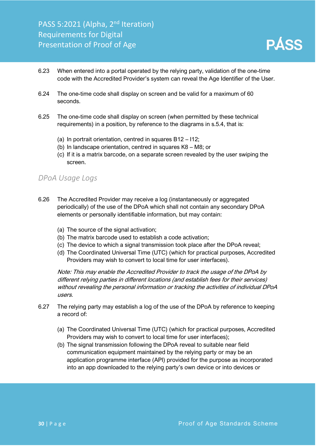

- 6.23 When entered into a portal operated by the relying party, validation of the one-time code with the Accredited Provider's system can reveal the Age Identifier of the User.
- 6.24 The one-time code shall display on screen and be valid for a maximum of 60 seconds.
- 6.25 The one-time code shall display on screen (when permitted by these technical requirements) in a position, by reference to the diagrams in s.5.4, that is:
	- (a) In portrait orientation, centred in squares B12 I12;
	- (b) In landscape orientation, centred in squares K8 M8; or
	- (c) If it is a matrix barcode, on a separate screen revealed by the user swiping the screen.

#### <span id="page-30-0"></span>*DPoA Usage Logs*

- 6.26 The Accredited Provider may receive a log (instantaneously or aggregated periodically) of the use of the DPoA which shall not contain any secondary DPoA elements or personally identifiable information, but may contain:
	- (a) The source of the signal activation;
	- (b) The matrix barcode used to establish a code activation;
	- (c) The device to which a signal transmission took place after the DPoA reveal;
	- (d) The Coordinated Universal Time (UTC) (which for practical purposes, Accredited Providers may wish to convert to local time for user interfaces).

Note: This may enable the Accredited Provider to track the usage of the DPoA by different relying parties in different locations (and establish fees for their services) without revealing the personal information or tracking the activities of individual DPoA users.

- 6.27 The relying party may establish a log of the use of the DPoA by reference to keeping a record of:
	- (a) The Coordinated Universal Time (UTC) (which for practical purposes, Accredited Providers may wish to convert to local time for user interfaces);
	- (b) The signal transmission following the DPoA reveal to suitable near field communication equipment maintained by the relying party or may be an application programme interface (API) provided for the purpose as incorporated into an app downloaded to the relying party's own device or into devices or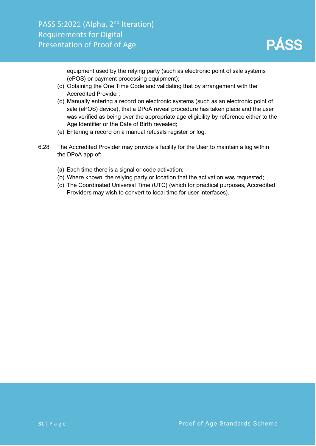equipment used by the relying party (such as electronic point of sale systems (ePOS) or payment processing equipment);

- (c) Obtaining the One Time Code and validating that by arrangement with the Accredited Provider;
- (d) Manually entering a record on electronic systems (such as an electronic point of sale (ePOS) device), that a DPoA reveal procedure has taken place and the user was verified as being over the appropriate age eligibility by reference either to the Age Identifier or the Date of Birth revealed;
- (e) Entering a record on a manual refusals register or log.
- <span id="page-31-0"></span>6.28 The Accredited Provider may provide a facility for the User to maintain a log within the DPoA app of:
	- (a) Each time there is a signal or code activation;
	- (b) Where known, the relying party or location that the activation was requested;
	- (c) The Coordinated Universal Time (UTC) (which for practical purposes, Accredited Providers may wish to convert to local time for user interfaces).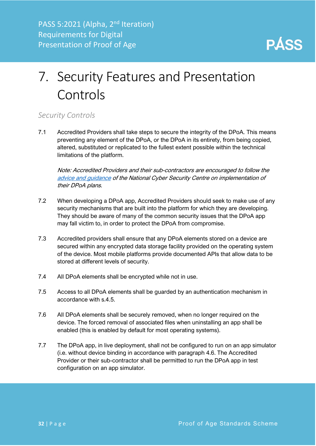

# 7. Security Features and Presentation Controls

#### <span id="page-32-0"></span>*Security Controls*

7.1 Accredited Providers shall take steps to secure the integrity of the DPoA. This means preventing any element of the DPoA, or the DPoA in its entirety, from being copied, altered, substituted or replicated to the fullest extent possible within the technical limitations of the platform.

Note: Accredited Providers and their sub-contractors are encouraged to follow the [advice and guidance](https://www.ncsc.gov.uk/section/advice-guidance/all-topics) of the National Cyber Security Centre on implementation of their DPoA plans.

- 7.2 When developing a DPoA app, Accredited Providers should seek to make use of any security mechanisms that are built into the platform for which they are developing. They should be aware of many of the common security issues that the DPoA app may fall victim to, in order to protect the DPoA from compromise.
- 7.3 Accredited providers shall ensure that any DPoA elements stored on a device are secured within any encrypted data storage facility provided on the operating system of the device. Most mobile platforms provide documented APIs that allow data to be stored at different levels of security.
- 7.4 All DPoA elements shall be encrypted while not in use.
- 7.5 Access to all DPoA elements shall be guarded by an authentication mechanism in accordance with s.4.5.
- 7.6 All DPoA elements shall be securely removed, when no longer required on the device. The forced removal of associated files when uninstalling an app shall be enabled (this is enabled by default for most operating systems).
- 7.7 The DPoA app, in live deployment, shall not be configured to run on an app simulator (i.e. without device binding in accordance with paragraph 4.6. The Accredited Provider or their sub-contractor shall be permitted to run the DPoA app in test configuration on an app simulator.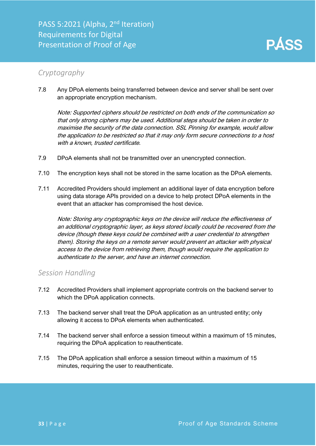#### <span id="page-33-0"></span>*Cryptography*

7.8 Any DPoA elements being transferred between device and server shall be sent over an appropriate encryption mechanism.

Note: Supported ciphers should be restricted on both ends of the communication so that only strong ciphers may be used. Additional steps should be taken in order to maximise the security of the data connection. SSL Pinning for example, would allow the application to be restricted so that it may only form secure connections to a host with a known, trusted certificate.

- 7.9 DPoA elements shall not be transmitted over an unencrypted connection.
- 7.10 The encryption keys shall not be stored in the same location as the DPoA elements.
- 7.11 Accredited Providers should implement an additional layer of data encryption before using data storage APIs provided on a device to help protect DPoA elements in the event that an attacker has compromised the host device.

Note: Storing any cryptographic keys on the device will reduce the effectiveness of an additional cryptographic layer, as keys stored locally could be recovered from the device (though these keys could be combined with a user credential to strengthen them). Storing the keys on a remote server would prevent an attacker with physical access to the device from retrieving them, though would require the application to authenticate to the server, and have an internet connection.

#### <span id="page-33-1"></span>*Session Handling*

- 7.12 Accredited Providers shall implement appropriate controls on the backend server to which the DPoA application connects.
- 7.13 The backend server shall treat the DPoA application as an untrusted entity; only allowing it access to DPoA elements when authenticated.
- 7.14 The backend server shall enforce a session timeout within a maximum of 15 minutes, requiring the DPoA application to reauthenticate.
- 7.15 The DPoA application shall enforce a session timeout within a maximum of 15 minutes, requiring the user to reauthenticate.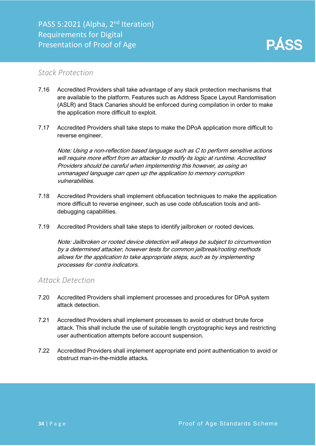#### <span id="page-34-0"></span>*Stack Protection*

- 7.16 Accredited Providers shall take advantage of any stack protection mechanisms that are available to the platform. Features such as Address Space Layout Randomisation (ASLR) and Stack Canaries should be enforced during compilation in order to make the application more difficult to exploit.
- 7.17 Accredited Providers shall take steps to make the DPoA application more difficult to reverse engineer.

Note: Using a non-reflection based language such as C to perform sensitive actions will require more effort from an attacker to modify its logic at runtime. Accredited Providers should be careful when implementing this however, as using an unmanaged language can open up the application to memory corruption vulnerabilities.

- 7.18 Accredited Providers shall implement obfuscation techniques to make the application more difficult to reverse engineer, such as use code obfuscation tools and antidebugging capabilities.
- 7.19 Accredited Providers shall take steps to identify jailbroken or rooted devices.

Note: Jailbroken or rooted device detection will always be subject to circumvention by a determined attacker, however tests for common jailbreak/rooting methods allows for the application to take appropriate steps, such as by implementing processes for contra indicators.

#### <span id="page-34-1"></span>*Attack Detection*

- 7.20 Accredited Providers shall implement processes and procedures for DPoA system attack detection.
- 7.21 Accredited Providers shall implement processes to avoid or obstruct brute force attack. This shall include the use of suitable length cryptographic keys and restricting user authentication attempts before account suspension.
- 7.22 Accredited Providers shall implement appropriate end point authentication to avoid or obstruct man-in-the-middle attacks.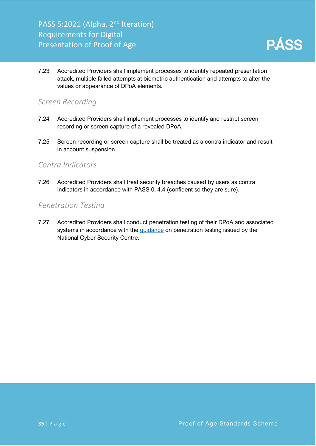

7.23 Accredited Providers shall implement processes to identify repeated presentation attack, multiple failed attempts at biometric authentication and attempts to alter the values or appearance of DPoA elements.

#### <span id="page-35-0"></span>*Screen Recording*

- 7.24 Accredited Providers shall implement processes to identify and restrict screen recording or screen capture of a revealed DPoA.
- 7.25 Screen recording or screen capture shall be treated as a contra indicator and result in account suspension.

#### <span id="page-35-1"></span>*Contra Indicators*

7.26 Accredited Providers shall treat security breaches caused by users as contra indicators in accordance with PASS 0, 4.4 (confident so they are sure).

#### <span id="page-35-2"></span>*Penetration Testing*

7.27 Accredited Providers shall conduct penetration testing of their DPoA and associated systems in accordance with the [guidance](https://www.ncsc.gov.uk/guidance/penetration-testing#scope) on penetration testing issued by the National Cyber Security Centre.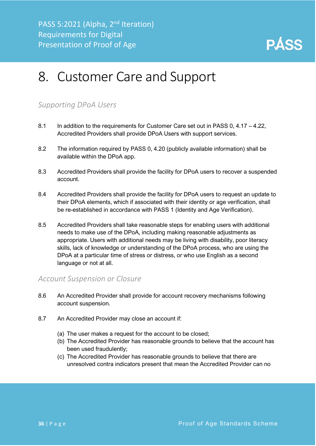

### <span id="page-36-0"></span>8. Customer Care and Support

#### <span id="page-36-1"></span>*Supporting DPoA Users*

- 8.1 In addition to the requirements for Customer Care set out in PASS 0, 4.17 4.22. Accredited Providers shall provide DPoA Users with support services.
- 8.2 The information required by PASS 0, 4.20 (publicly available information) shall be available within the DPoA app.
- 8.3 Accredited Providers shall provide the facility for DPoA users to recover a suspended account.
- 8.4 Accredited Providers shall provide the facility for DPoA users to request an update to their DPoA elements, which if associated with their identity or age verification, shall be re-established in accordance with PASS 1 (Identity and Age Verification).
- 8.5 Accredited Providers shall take reasonable steps for enabling users with additional needs to make use of the DPoA, including making reasonable adjustments as appropriate. Users with additional needs may be living with disability, poor literacy skills, lack of knowledge or understanding of the DPoA process, who are using the DPoA at a particular time of stress or distress, or who use English as a second language or not at all.

#### <span id="page-36-2"></span>*Account Suspension or Closure*

- 8.6 An Accredited Provider shall provide for account recovery mechanisms following account suspension.
- 8.7 An Accredited Provider may close an account if:
	- (a) The user makes a request for the account to be closed;
	- (b) The Accredited Provider has reasonable grounds to believe that the account has been used fraudulently;
	- (c) The Accredited Provider has reasonable grounds to believe that there are unresolved contra indicators present that mean the Accredited Provider can no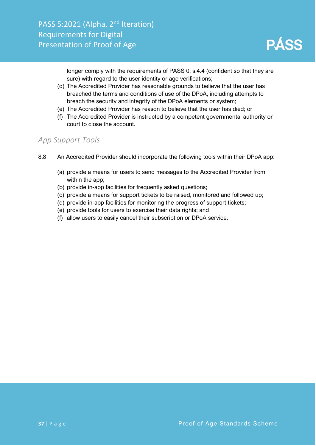longer comply with the requirements of PASS 0, s.4.4 (confident so that they are sure) with regard to the user identity or age verifications;

- (d) The Accredited Provider has reasonable grounds to believe that the user has breached the terms and conditions of use of the DPoA, including attempts to breach the security and integrity of the DPoA elements or system;
- (e) The Accredited Provider has reason to believe that the user has died; or
- (f) The Accredited Provider is instructed by a competent governmental authority or court to close the account.

#### <span id="page-37-0"></span>*App Support Tools*

- 8.8 An Accredited Provider should incorporate the following tools within their DPoA app:
	- (a) provide a means for users to send messages to the Accredited Provider from within the app;
	- (b) provide in-app facilities for frequently asked questions;
	- (c) provide a means for support tickets to be raised, monitored and followed up;
	- (d) provide in-app facilities for monitoring the progress of support tickets;
	- (e) provide tools for users to exercise their data rights; and
	- (f) allow users to easily cancel their subscription or DPoA service.